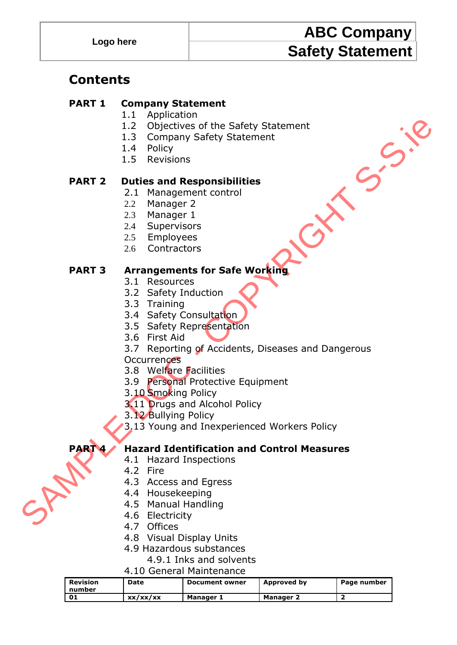# **ABC Company Safety Statement**

### **Contents**

#### **PART 1 Company Statement**

- 1.1 Application
- 1.2 Objectives of the Safety Statement
- 1.3 Company Safety Statement
- 1.4 Policy
- 1.5 Revisions

#### **PART 2 Duties and Responsibilities**

- 2.1 Management control
- 2.2 Manager 2
- 2.3 Manager 1
- 2.4 Supervisors
- 2.5 Employees
- 2.6 Contractors

#### **PART 3 Arrangements for Safe Working**

- 3.1 Resources
- 3.2 Safety Induction
- 3.3 Training
- 3.4 Safety Consultation
- 3.5 Safety Representation
- 3.6 First Aid
- 1.2 Objectives of the Safety Statement<br>
1.3 Company Safety Statement<br>
1.3 Company Safety Statement<br>
1.4 Policy<br>
1.5 Revisions<br>
2.1 Management control<br>
2.2 Management control<br>
2.2 Safety Induction<br>
2.3 Safety Consultation<br> 3.7 Reporting of Accidents, Diseases and Dangerous
	- **Occurrences**
	- 3.8 Welfare Facilities
	- 3.9 Personal Protective Equipment
	- 3.10 Smoking Policy
	- 3.11 Drugs and Alcohol Policy
	- 3.12 Bullying Policy
	- 3.13 Young and Inexperienced Workers Policy

### **PART 4 Hazard Identification and Control Measures**

- 4.1 Hazard Inspections
- 4.2 Fire
- 4.3 Access and Egress
- 4.4 Housekeeping
- 4.5 Manual Handling
- 4.6 Electricity
- 4.7 Offices
- 4.8 Visual Display Units
- 4.9 Hazardous substances
	- 4.9.1 Inks and solvents
- 4.10 General Maintenance

| Revision<br>l number | Date     | <b>Document owner</b> | Approved by | Page number |
|----------------------|----------|-----------------------|-------------|-------------|
| - 01                 | xx/xx/xx | Manager 1             | Manager 2   |             |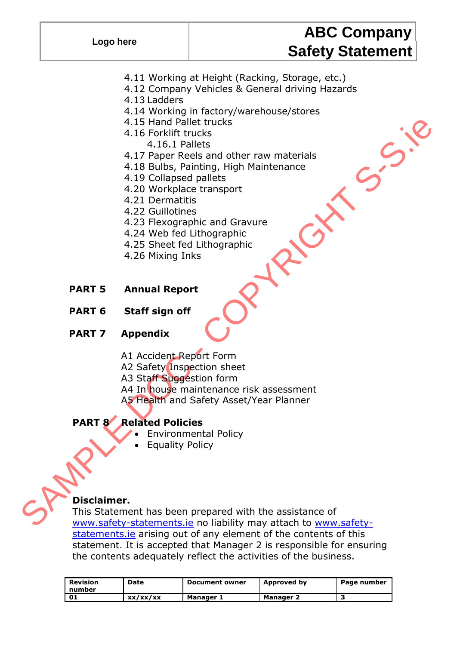# **ABC Company Safety Statement**

- 4.11 Working at Height (Racking, Storage, etc.)
- 4.12 Company Vehicles & General driving Hazards
- 4.13 Ladders
- 4.14 Working in factory/warehouse/stores
- 4.15 Hand Pallet trucks
- 4.16 Forklift trucks
	- 4.16.1 Pallets
- 4.17 Paper Reels and other raw materials
- 4.18 Bulbs, Painting, High Maintenance
- 4.19 Collapsed pallets
- 4.20 Workplace transport
- 4.21 Dermatitis
- 4.22 Guillotines
- 4.23 Flexographic and Gravure
- 4.24 Web fed Lithographic
- 4.25 Sheet fed Lithographic
- 4.26 Mixing Inks
- **PART 5 Annual Report**
- **PART 6 Staff sign off**

#### **PART 7 Appendix**

- A1 Accident Report Form
- A2 Safety Inspection sheet
- A3 Staff Suggestion form
- A4 In house maintenance risk assessment
- A5 Health and Safety Asset/Year Planner

#### **PART 8 Related Policies**

- Environmental Policy
- Equality Policy

#### **Disclaimer.**

4.15 Hand Pallet trucks<br>
4.16 Forklift trucks<br>
4.16 Forklift trucks<br>
4.16 Pallets<br>
4.17 Paper Reels and other raw materials<br>
4.18 Bulls, Painting, High Maintenance<br>
4.29 Workplace transport<br>
4.22 Guildties<br>
4.25 Flexorpapl This Statement has been prepared with the assistance of www.safety-statements.ie no liability may attach to www.safety[statements.ie](http://www.safety-statements.ie/) arising out of any element of the contents of this statement. It is accepted that Manager 2 is responsible for ensuring the contents adequately reflect the activities of the business.

| l Revision<br>l number | Date     | <b>Document owner</b> | Approved by      | Page number |
|------------------------|----------|-----------------------|------------------|-------------|
| ! 01                   | xx/xx/xx | Manager 1             | <b>Manager 2</b> |             |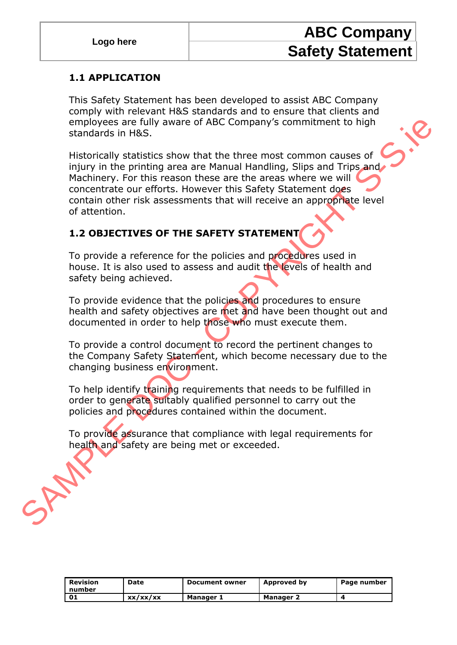# **ABC Company Safety Statement**

#### **1.1 APPLICATION**

This Safety Statement has been developed to assist ABC Company comply with relevant H&S standards and to ensure that clients and employees are fully aware of ABC Company's commitment to high standards in H&S.

employees are fully aware of ABC Company's commitment to high<br>standards in H&S.<br>Historically statistics show that the three most common causes of<br>injury in the printing area are Manual Handling, Slips and Tripsand<br>Machiner Historically statistics show that the three most common causes of injury in the printing area are Manual Handling, Slips and Trips and Machinery. For this reason these are the areas where we will concentrate our efforts. However this Safety Statement does contain other risk assessments that will receive an appropriate level of attention.

### **1.2 OBJECTIVES OF THE SAFETY STATEMENT**

To provide a reference for the policies and procedures used in house. It is also used to assess and audit the levels of health and safety being achieved.

To provide evidence that the policies and procedures to ensure health and safety objectives are met and have been thought out and documented in order to help those who must execute them.

To provide a control document to record the pertinent changes to the Company Safety Statement, which become necessary due to the changing business environment.

To help identify training requirements that needs to be fulfilled in order to generate suitably qualified personnel to carry out the policies and procedures contained within the document.

To provide assurance that compliance with legal requirements for health and safety are being met or exceeded.

| Revision<br>number | Date     | <b>Document owner</b> | Approved by          | Page number |
|--------------------|----------|-----------------------|----------------------|-------------|
| - 01               | xx/xx/xx | Manager 1             | Manager <sup>-</sup> |             |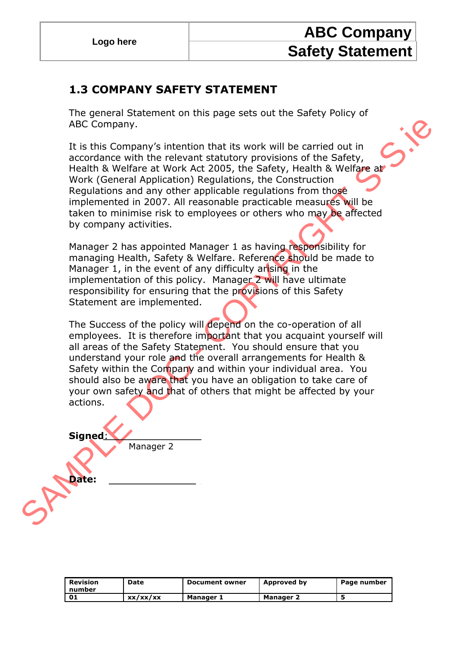### **1.3 COMPANY SAFETY STATEMENT**

The general Statement on this page sets out the Safety Policy of ABC Company.

It is this Company's intention that its work will be carried out in accordance with the relevant statutory provisions of the Safety, Health & Welfare at Work Act 2005, the Safety, Health & Welfare at Work (General Application) Regulations, the Construction Regulations and any other applicable regulations from those implemented in 2007. All reasonable practicable measures will be taken to minimise risk to employees or others who may be affected by company activities.

Manager 2 has appointed Manager 1 as having responsibility for managing Health, Safety & Welfare. Reference should be made to Manager 1, in the event of any difficulty arising in the implementation of this policy. Manager 2 will have ultimate responsibility for ensuring that the provisions of this Safety Statement are implemented.

ABC Company,<br>
It is this Company's intention that its work will be carried out in<br>
accordance with the relevant statutory provisions of the Safety,<br>
Health & Welfare at Work Act 2005, the Safety, Health & Welfare<br>
Work (Ge The Success of the policy will depend on the co-operation of all employees. It is therefore important that you acquaint yourself will all areas of the Safety Statement. You should ensure that you understand your role and the overall arrangements for Health & Safety within the Company and within your individual area. You should also be aware that you have an obligation to take care of your own safety and that of others that might be affected by your actions.

**Signed**: Manager 2

**Date:**

| Revision<br>l number | Date     | <b>Document owner</b> | Approved by      | Page number |
|----------------------|----------|-----------------------|------------------|-------------|
| 1 01                 | xx/xx/xx | Manager 1             | <b>Manager 2</b> |             |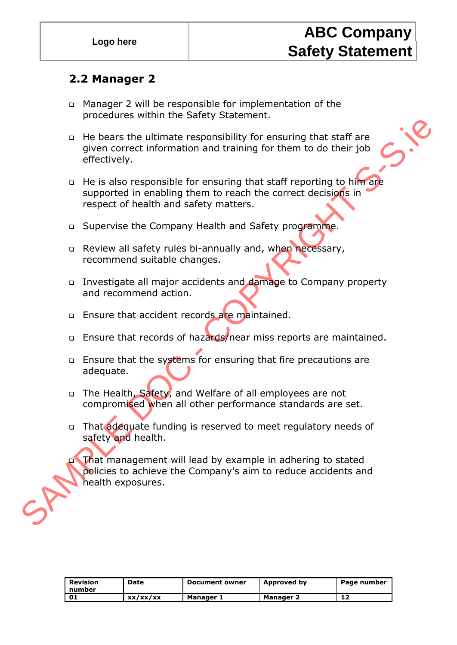### **2.2 Manager 2**

- Manager 2 will be responsible for implementation of the procedures within the Safety Statement.
- He bears the ultimate responsibility for ensuring that staff are given correct information and training for them to do their job effectively.
- The Mealth exposures and Welfare of all employees are not completely.<br>
The beats the ultimate responsibility for ensuring that staff are<br>
given correct information and training for them to do their job<br>
effectively.<br>
The i □ He is also responsible for ensuring that staff reporting to him are supported in enabling them to reach the correct decisions in respect of health and safety matters.
	- □ Supervise the Company Health and Safety programme.
	- Review all safety rules bi-annually and, when necessary, recommend suitable changes.
	- □ Investigate all major accidents and damage to Company property and recommend action.
	- **Ensure that accident records are maintained.**
	- □ Ensure that records of hazards/near miss reports are maintained.
	- □ Ensure that the systems for ensuring that fire precautions are adequate.
	- □ The Health, Safety, and Welfare of all employees are not compromised when all other performance standards are set.
	- □ That adequate funding is reserved to meet regulatory needs of safety and health.

 That management will lead by example in adhering to stated policies to achieve the Company's aim to reduce accidents and health exposures.

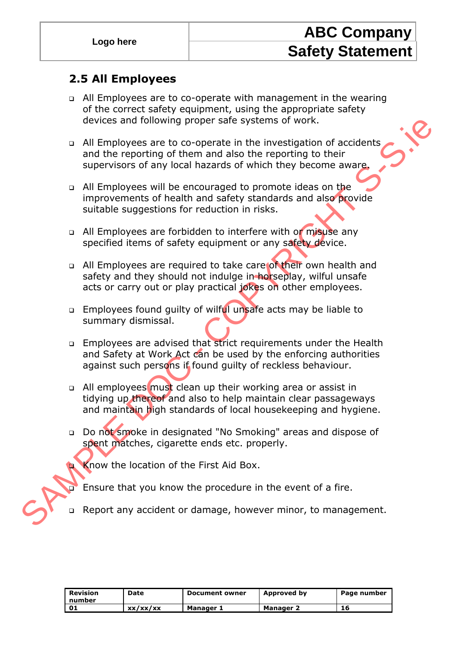### **2.5 All Employees**

- All Employees are to co-operate with management in the wearing of the correct safety equipment, using the appropriate safety devices and following proper safe systems of work.
- All Employees are to co-operate in the investigation of accidents and the reporting of them and also the reporting to their supervisors of any local hazards of which they become aware.
- □ All Employees will be encouraged to promote ideas on the improvements of health and safety standards and also provide suitable suggestions for reduction in risks.
- All Employees are forbidden to interfere with or misuse any specified items of safety equipment or any safety device.
- a All Employees are required to take care of their own health and safety and they should not indulge in horseplay, wilful unsafe acts or carry out or play practical jokes on other employees.
- **Employees found guilty of wilful unsafe acts may be liable to** summary dismissal.
- Employees are advised that strict requirements under the Health and Safety at Work Act can be used by the enforcing authorities against such persons if found quilty of reckless behaviour.
- devices and following proper safe systems of work.<br>
and the mephoting of them and also the investigation of accidents<br>
and the reporting of them and also the reporting to their<br>
supervisors of any local hazards of which th □ All employees must clean up their working area or assist in tidying up thereof and also to help maintain clear passageways and maintain high standards of local housekeeping and hygiene.
	- Do not smoke in designated "No Smoking" areas and dispose of spent matches, cigarette ends etc. properly.
		- Know the location of the First Aid Box.
		- Ensure that you know the procedure in the event of a fire.
	- Report any accident or damage, however minor, to management.

| Revision<br>l number | Date     | <b>Document owner</b> | Approved by      | Page number |
|----------------------|----------|-----------------------|------------------|-------------|
| - 01                 | xx/xx/xx | Manager 1             | <b>Manager 2</b> | 16          |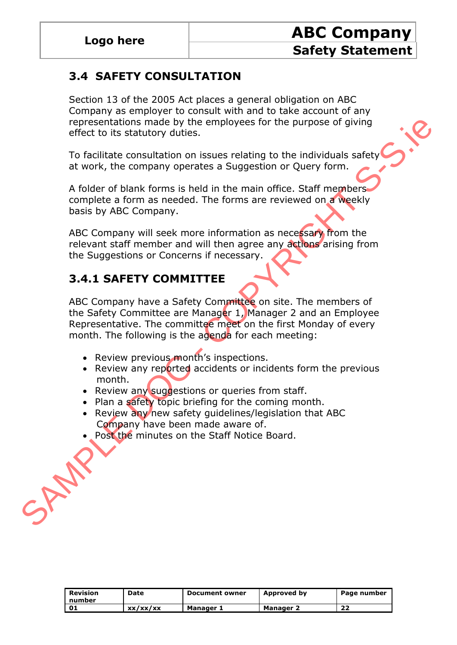### **3.4 SAFETY CONSULTATION**

Section 13 of the 2005 Act places a general obligation on ABC Company as employer to consult with and to take account of any representations made by the employees for the purpose of giving effect to its statutory duties.

To facilitate consultation on issues relating to the individuals safety at work, the company operates a Suggestion or Query form.

A folder of blank forms is held in the main office. Staff members complete a form as needed. The forms are reviewed on a weekly basis by ABC Company.

ABC Company will seek more information as necessary from the relevant staff member and will then agree any actions arising from the Suggestions or Concerns if necessary.

### **3.4.1 SAFETY COMMITTEE**

representations made by the employees for the purpose of giving<br>
effect to its statutory duties.<br>
To facilitate consultation on issues relating to the individuals safety<br>
at work, the company operates a Suggestion or Query ABC Company have a Safety Committee on site. The members of the Safety Committee are Manager 1, Manager 2 and an Employee Representative. The committee meet on the first Monday of every month. The following is the agenda for each meeting:

- Review previous month's inspections.
- Review any reported accidents or incidents form the previous month.
- Review any suggestions or queries from staff.
- Plan a safety topic briefing for the coming month.
- Review any new safety guidelines/legislation that ABC Company have been made aware of.
- Post the minutes on the Staff Notice Board.

| Revision<br>number | Date     | <b>Document owner</b> | <b>Approved by</b> | Page number |
|--------------------|----------|-----------------------|--------------------|-------------|
| 01                 | xx/xx/xx | <b>Manager 1</b>      | <b>Manager 2</b>   | 22          |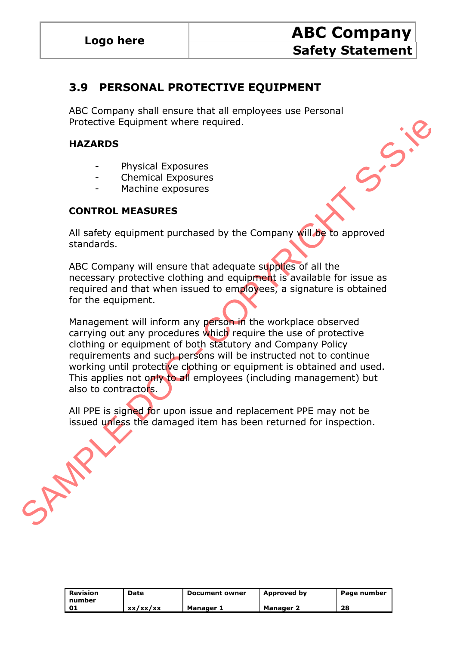### **3.9 PERSONAL PROTECTIVE EQUIPMENT**

ABC Company shall ensure that all employees use Personal Protective Equipment where required.

#### **HAZARDS**

- Physical Exposures
- Chemical Exposures
- Machine exposures

#### **CONTROL MEASURES**

All safety equipment purchased by the Company will be to approved standards.

ABC Company will ensure that adequate supplies of all the necessary protective clothing and equipment is available for issue as required and that when issued to employees, a signature is obtained for the equipment.

Protective Equipment where required.<br>
HAZARDS<br>
Thysical Exposures<br>
Chemical Exposures<br>
Contribute exposures<br>
Machine exposures<br>
CONTROL MEASURES<br>
ABC Company will ensure that adequate supples of all the<br>
necessary protecti Management will inform any person in the workplace observed carrying out any procedures which require the use of protective clothing or equipment of both statutory and Company Policy requirements and such persons will be instructed not to continue working until protective clothing or equipment is obtained and used. This applies not only to all employees (including management) but also to contractors.

All PPE is signed for upon issue and replacement PPE may not be issued unless the damaged item has been returned for inspection.

| Revision<br>I number | Date     | <b>Document owner</b> | Approved by      | Page number |
|----------------------|----------|-----------------------|------------------|-------------|
| נס י                 | xx/xx/xx | Manager 1             | <b>Manager 2</b> | 28          |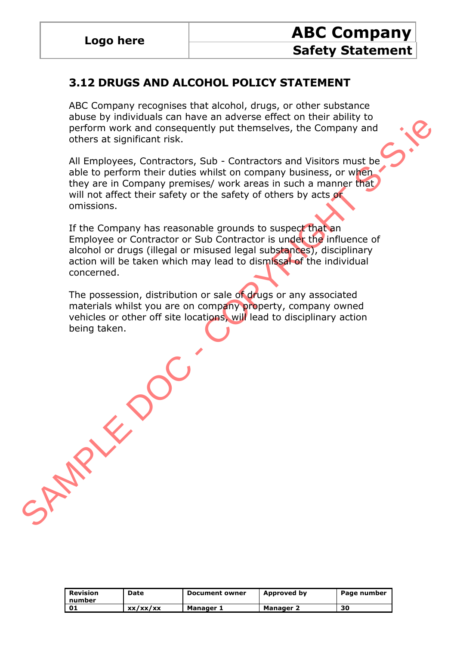SAMPLE DOC

### **3.12 DRUGS AND ALCOHOL POLICY STATEMENT**

ABC Company recognises that alcohol, drugs, or other substance abuse by individuals can have an adverse effect on their ability to perform work and consequently put themselves, the Company and others at significant risk.

All Employees, Contractors, Sub - Contractors and Visitors must be able to perform their duties whilst on company business, or when they are in Company premises/ work areas in such a manner that will not affect their safety or the safety of others by acts or omissions.

If the Company has reasonable grounds to suspect that an Employee or Contractor or Sub Contractor is under the influence of alcohol or drugs (illegal or misused legal substances), disciplinary action will be taken which may lead to dismissal of the individual concerned.

The possession, distribution or sale of drugs or any associated materials whilst you are on company property, company owned vehicles or other off site locations, will lead to disciplinary action being taken.

| Revision<br>number | Date     | Document owner | Approved by | Page number |
|--------------------|----------|----------------|-------------|-------------|
|                    | xx/xx/xx | Manager 1      | Manager 2   | 30          |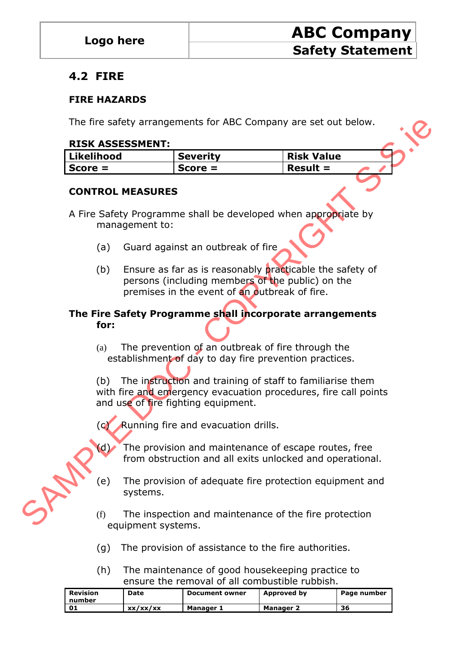### **4.2 FIRE**

#### **FIRE HAZARDS**

The fire safety arrangements for ABC Company are set out below.

#### **RISK ASSESSMENT:**

| Likelihood | Severity  | <b>Risk Value</b>         |
|------------|-----------|---------------------------|
| Score $=$  | $Score =$ | $\blacksquare$ Result $=$ |

#### **CONTROL MEASURES**

- A Fire Safety Programme shall be developed when appropriate by management to:
	- (a) Guard against an outbreak of fire
	- (b) Ensure as far as is reasonably practicable the safety of persons (including members of the public) on the premises in the event of an outbreak of fire.

#### **The Fire Safety Programme shall incorporate arrangements for:**

(a) The prevention of an outbreak of fire through the establishment of day to day fire prevention practices.

The fire safety arrangements for ABC Company are set out below.<br> **RISK ASHEMENT:**<br> **RISK Value**<br> **CONTROL MEASURES**<br>
CONTROL MEASURES<br>
CONTROL MEASURES<br>
A Fire Safety Programme shall be developed when appropriate by<br>
manag (b) The instruction and training of staff to familiarise them with fire and emergency evacuation procedures, fire call points and use of fire fighting equipment.

- (c) Running fire and evacuation drills.
- (d) The provision and maintenance of escape routes, free from obstruction and all exits unlocked and operational.
- (e) The provision of adequate fire protection equipment and systems.
- (f) The inspection and maintenance of the fire protection equipment systems.
- (g) The provision of assistance to the fire authorities.
- (h) The maintenance of good housekeeping practice to ensure the removal of all combustible rubbish.

| Revision<br>number | Date     | <b>Document owner</b> | Approved by      | Page number |
|--------------------|----------|-----------------------|------------------|-------------|
|                    | xx/xx/xx | Manager 1             | <b>Manager 2</b> | 36          |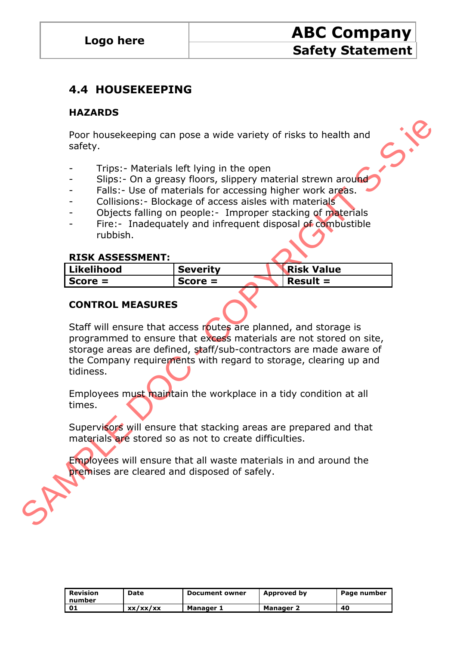### **4.4 HOUSEKEEPING**

#### **HAZARDS**

Poor housekeeping can pose a wide variety of risks to health and safety.

- Trips: Materials left lying in the open
- Slips: On a greasy floors, slippery material strewn around
- Falls: Use of materials for accessing higher work areas.
- Collisions: Blockage of access aisles with materials
- Objects falling on people: Improper stacking of materials
- Fire: Inadequately and infrequent disposal of combustible rubbish.

#### **RISK ASSESSMENT:**

| Likelihood | <b>Severity</b> | <b>Risk Value</b> |
|------------|-----------------|-------------------|
| $Score =$  | $Score =$       | $Result =$        |

#### **CONTROL MEASURES**

Poor housekeeping can pose a wide variety of risks to health and<br>
safety.<br>
Safety.<br>
Trips:- Materials left lying in the open<br>
Slips:- Use of materials for accessing higher work arges.<br>
Tails:- Use of materials for access a Staff will ensure that access routes are planned, and storage is programmed to ensure that excess materials are not stored on site, storage areas are defined, staff/sub-contractors are made aware of the Company requirements with regard to storage, clearing up and tidiness.

Employees must maintain the workplace in a tidy condition at all times.

Supervisors will ensure that stacking areas are prepared and that materials are stored so as not to create difficulties.

Employees will ensure that all waste materials in and around the premises are cleared and disposed of safely.

| Revision<br>l number | Date     | <b>Document owner</b> | Approved by      | Page number |
|----------------------|----------|-----------------------|------------------|-------------|
| ' 01                 | xx/xx/xx | Manager 1             | <b>Manager 2</b> | 40          |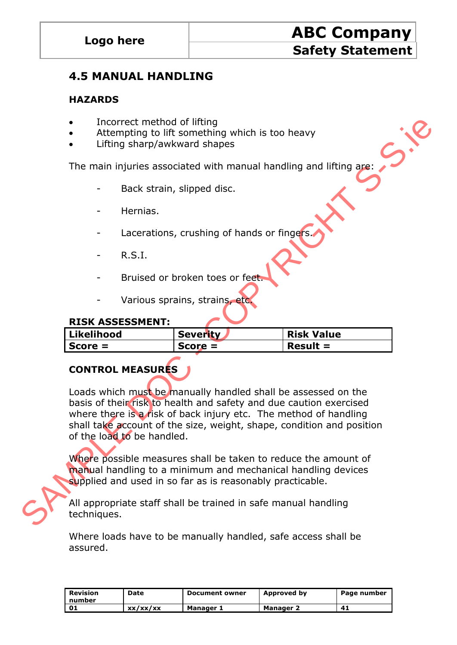### **4.5 MANUAL HANDLING**

#### **HAZARDS**

- Incorrect method of lifting
- Attempting to lift something which is too heavy
- Lifting sharp/awkward shapes

The main injuries associated with manual handling and lifting are:

- Back strain, slipped disc.
- Hernias.
- Lacerations, crushing of hands or fingers.
- $R.S.I.$
- Bruised or broken toes or feet
- Various sprains, strains, etc.

#### **RISK ASSESSMENT:**

| Likelihood | <b>Severity</b> | <b>Risk Value</b> |
|------------|-----------------|-------------------|
| $Score =$  | $Score =$       | $Result =$        |

### **CONTROL MEASURES**

The main injuries associated with the size of the filling sharp/awkward shapes<br>
The main injuries associated with manual handling and lifting space<br>
The main injuries associated with manual handling and lifting space<br>
Back Loads which must be manually handled shall be assessed on the basis of their risk to health and safety and due caution exercised where there is a risk of back injury etc. The method of handling shall take account of the size, weight, shape, condition and position of the load to be handled.

Where possible measures shall be taken to reduce the amount of manual handling to a minimum and mechanical handling devices supplied and used in so far as is reasonably practicable.

All appropriate staff shall be trained in safe manual handling techniques.

Where loads have to be manually handled, safe access shall be assured.

| Revision<br>number | Date     | <b>Document owner</b> | Approved by      | Page number |
|--------------------|----------|-----------------------|------------------|-------------|
| 01                 | xx/xx/xx | <b>Manager 1</b>      | <b>Manager 2</b> |             |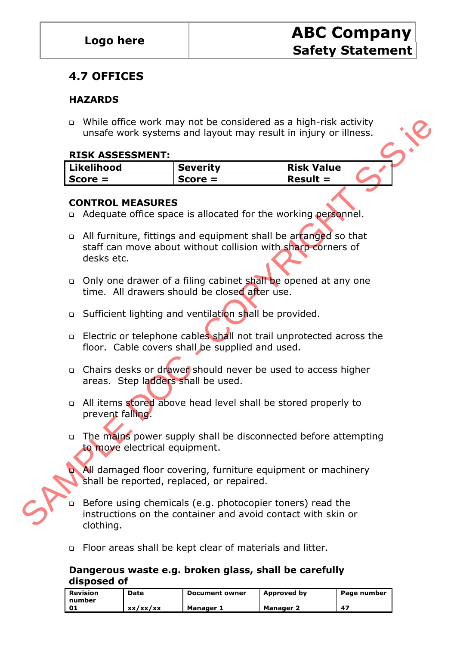### **4.7 OFFICES**

#### **HAZARDS**

 While office work may not be considered as a high-risk activity unsafe work systems and layout may result in injury or illness.

#### **RISK ASSESSMENT:**

| Likelihood | <b>Severity</b> | <b>Risk Value</b> |  |
|------------|-----------------|-------------------|--|
| Score $=$  | $Score =$       | $Result =$        |  |

#### **CONTROL MEASURES**

- □ Adequate office space is allocated for the working personnel.
- o While office work may not be considered as a high-risk activity<br>
ILINE DIDNOT IS CONTROL MEASURE SCOPE Result = CONTROL MEASURES<br>
SCOPE CONTROL MEASURES<br>
CONTROL MEASURES<br>
CONTROL MEASURES<br>
CONTROL MEASURES<br>
CONTROL a All furniture, fittings and equipment shall be arranged so that staff can move about without collision with sharp corners of desks etc.
	- Only one drawer of a filing cabinet shall be opened at any one time. All drawers should be closed after use.
	- □ Sufficient lighting and ventilation shall be provided.
	- □ Electric or telephone cables shall not trail unprotected across the floor. Cable covers shall be supplied and used.
	- □ Chairs desks or drawer should never be used to access higher areas. Step ladders shall be used.
	- a All items stored above head level shall be stored properly to prevent falling.
	- □ The mains power supply shall be disconnected before attempting to move electrical equipment.
		- All damaged floor covering, furniture equipment or machinery shall be reported, replaced, or repaired.
	- Before using chemicals (e.g. photocopier toners) read the instructions on the container and avoid contact with skin or clothing.
	- Floor areas shall be kept clear of materials and litter.

#### **Dangerous waste e.g. broken glass, shall be carefully disposed of**

| Revision<br>number | Date     | <b>Document owner</b> | Approved by      | Page number |
|--------------------|----------|-----------------------|------------------|-------------|
| 01                 | xx/xx/xx | Manager 1             | <b>Manager 2</b> | -47         |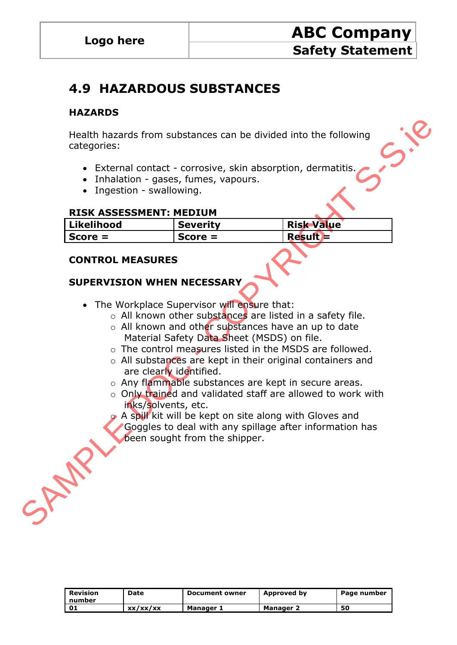## **4.9 HAZARDOUS SUBSTANCES**

#### **HAZARDS**

- External contact corrosive, skin absorption, dermatitis.
- Inhalation gases, fumes, vapours.
- Ingestion swallowing.

#### **RISK ASSESSMENT: MEDIUM**

|     | categories:                                                                                          | Health hazards from substances can be divided into the following                                                                                                                                                                                                                                                                                                                                                                                                                                                                                                                                                     |                   |  |
|-----|------------------------------------------------------------------------------------------------------|----------------------------------------------------------------------------------------------------------------------------------------------------------------------------------------------------------------------------------------------------------------------------------------------------------------------------------------------------------------------------------------------------------------------------------------------------------------------------------------------------------------------------------------------------------------------------------------------------------------------|-------------------|--|
|     | • Inhalation - gases, fumes, vapours.<br>• Ingestion - swallowing.<br><b>RISK ASSESSMENT: MEDIUM</b> | • External contact - corrosive, skin absorption, dermatitis.                                                                                                                                                                                                                                                                                                                                                                                                                                                                                                                                                         |                   |  |
|     | Likelihood                                                                                           | <b>Severity</b>                                                                                                                                                                                                                                                                                                                                                                                                                                                                                                                                                                                                      | <b>Risk Value</b> |  |
|     | $Score =$                                                                                            | $Score =$                                                                                                                                                                                                                                                                                                                                                                                                                                                                                                                                                                                                            | $Result =$        |  |
|     | <b>SUPERVISION WHEN NECESSARY</b><br>are clearly identified.<br>inks/solvents, etc.                  | • The Workplace Supervisor will ensure that:<br>o All known other substances are listed in a safety file.<br>o All known and other substances have an up to date<br>Material Safety Data Sheet (MSDS) on file.<br>o The control measures listed in the MSDS are followed.<br>○ All substances are kept in their original containers and<br>o Any flammable substances are kept in secure areas.<br>o Only trained and validated staff are allowed to work with<br>A spill kit will be kept on site along with Gloves and<br>Goggles to deal with any spillage after information has<br>been sought from the shipper. |                   |  |
| SAN |                                                                                                      |                                                                                                                                                                                                                                                                                                                                                                                                                                                                                                                                                                                                                      |                   |  |

#### **CONTROL MEASURES**

#### **SUPERVISION WHEN NECESSARY**

- The Workplace Supervisor will ensure that:
	- $\circ$  All known other substances are listed in a safety file.
	- o All known and other substances have an up to date Material Safety Data Sheet (MSDS) on file.
	- o The control measures listed in the MSDS are followed.
	- o All substances are kept in their original containers and are clearly identified.
	- o Any flammable substances are kept in secure areas.
	- o Only trained and validated staff are allowed to work with inks/solvents, etc.
	- A spill kit will be kept on site along with Gloves and Goggles to deal with any spillage after information has been sought from the shipper.

| Revision<br>l number | Date     | <b>Document owner</b> | Approved by      | Page number |
|----------------------|----------|-----------------------|------------------|-------------|
| - 01                 | xx/xx/xx | Manager 1             | <b>Manager 2</b> | 50          |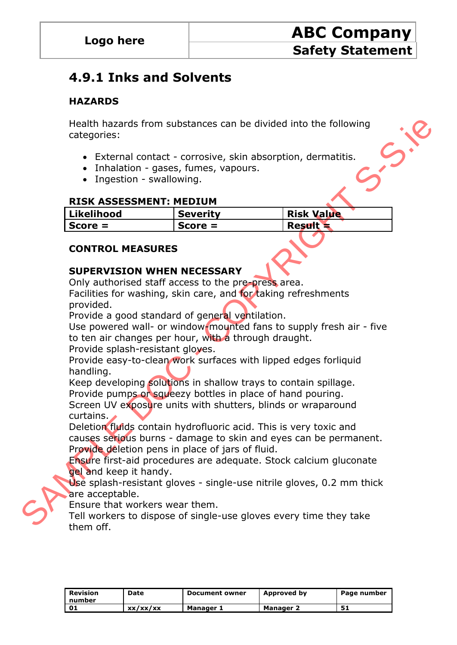## **4.9.1 Inks and Solvents**

#### **HAZARDS**

Health hazards from substances can be divided into the following categories:

- External contact corrosive, skin absorption, dermatitis.
- Inhalation gases, fumes, vapours.
- Ingestion swallowing.

#### **RISK ASSESSMENT: MEDIUM**

| Likelihood | <b>Severity</b> | <b>Risk Value</b> |
|------------|-----------------|-------------------|
| Score $=$  | $Score =$       | <b>Result</b>     |

#### **CONTROL MEASURES**

#### **SUPERVISION WHEN NECESSARY**

Only authorised staff access to the pre-press area.

Facilities for washing, skin care, and for taking refreshments provided.

Provide a good standard of general ventilation.

Use powered wall- or window-mounted fans to supply fresh air - five to ten air changes per hour, with a through draught.

Provide splash-resistant gloves.

Provide easy-to-clean work surfaces with lipped edges forliquid handling.

Keep developing solutions in shallow trays to contain spillage. Provide pumps or squeezy bottles in place of hand pouring.

Screen UV exposure units with shutters, blinds or wraparound curtains.

Health hazards from substances can be divided into the following<br>
categories:<br>
• External contract - corrosive, skin absorption, dermatitis.<br>
• Intelation - gases, fumes, vapours.<br>
• Intelation - gases, fumes.<br> **RISK ASSES** Deletion fluids contain hydrofluoric acid. This is very toxic and causes serious burns - damage to skin and eyes can be permanent. Provide deletion pens in place of jars of fluid.

Ensure first-aid procedures are adequate. Stock calcium gluconate gel and keep it handy.

Use splash-resistant gloves - single-use nitrile gloves, 0.2 mm thick are acceptable.

Ensure that workers wear them.

Tell workers to dispose of single-use gloves every time they take them off.

| Revision<br>l number | Date     | <b>Document owner</b> | Approved by | Page number |
|----------------------|----------|-----------------------|-------------|-------------|
| - 01                 | xx/xx/xx | Manager 1             | Manager 2   |             |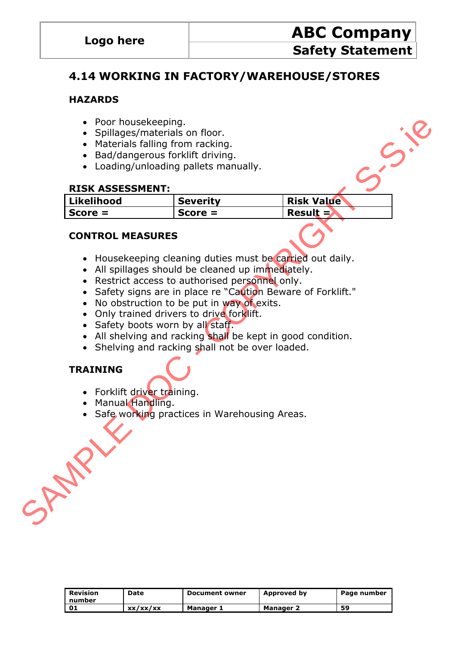### **4.14 WORKING IN FACTORY/WAREHOUSE/STORES**

#### **HAZARDS**

- Poor housekeeping.
- Spillages/materials on floor.
- Materials falling from racking.
- Bad/dangerous forklift driving.
- Loading/unloading pallets manually.

#### **RISK ASSESSMENT:**

| Poor housekeeping.                                |                                                |                                                              |  |
|---------------------------------------------------|------------------------------------------------|--------------------------------------------------------------|--|
| Spillages/materials on floor.                     |                                                |                                                              |  |
| • Materials falling from racking.                 |                                                |                                                              |  |
| Bad/dangerous forklift driving.<br>$\bullet$      |                                                |                                                              |  |
|                                                   | Loading/unloading pallets manually.            |                                                              |  |
|                                                   |                                                |                                                              |  |
| <b>RISK ASSESSMENT:</b>                           |                                                |                                                              |  |
| <b>Likelihood</b>                                 | <b>Severity</b>                                | <b>Risk Value</b>                                            |  |
| $Score =$                                         | $Score =$                                      | Result $=$                                                   |  |
| <b>CONTROL MEASURES</b>                           |                                                |                                                              |  |
|                                                   |                                                | • Housekeeping cleaning duties must be carried out daily.    |  |
| • All spillages should be cleaned up immediately. |                                                |                                                              |  |
| $\bullet$                                         | Restrict access to authorised personnel only.  |                                                              |  |
|                                                   |                                                | • Safety signs are in place re "Caution Beware of Forklift." |  |
|                                                   | No obstruction to be put in way of exits.      |                                                              |  |
| • Only trained drivers to drive forklift.         |                                                |                                                              |  |
| • Safety boots worn by all staff.                 |                                                |                                                              |  |
|                                                   |                                                | • All shelving and racking shall be kept in good condition.  |  |
|                                                   | Shelving and racking shall not be over loaded. |                                                              |  |
| <b>TRAINING</b>                                   |                                                |                                                              |  |
| • Forklift driver training.                       |                                                |                                                              |  |
| • Manual Handling.                                |                                                |                                                              |  |
|                                                   | Safe working practices in Warehousing Areas.   |                                                              |  |
|                                                   |                                                |                                                              |  |
|                                                   |                                                |                                                              |  |
|                                                   |                                                |                                                              |  |
|                                                   |                                                |                                                              |  |
|                                                   |                                                |                                                              |  |
|                                                   |                                                |                                                              |  |
|                                                   |                                                |                                                              |  |
| SAN                                               |                                                |                                                              |  |

#### **CONTROL MEASURES**

- Housekeeping cleaning duties must be carried out daily.
- All spillages should be cleaned up immediately.
- Restrict access to authorised personnel only.
- Safety signs are in place re "Caution Beware of Forklift."
- No obstruction to be put in way of exits.
- Only trained drivers to drive forklift.
- Safety boots worn by all staff.
- All shelving and racking shall be kept in good condition.
- Shelving and racking shall not be over loaded.

### **TRAINING**



- Forklift driver training.
- Manual Handling.
- Safe working practices in Warehousing Areas.

| Revision<br>l number | Date     | <b>Document owner</b> | Approved by      | Page number |
|----------------------|----------|-----------------------|------------------|-------------|
| נס ו                 | xx/xx/xx | Manager 1             | <b>Manager 2</b> | 59          |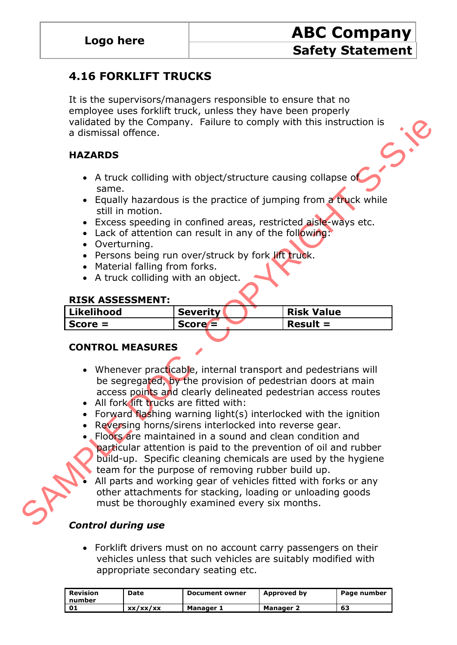### **4.16 FORKLIFT TRUCKS**

It is the supervisors/managers responsible to ensure that no employee uses forklift truck, unless they have been properly validated by the Company. Failure to comply with this instruction is a dismissal offence.

### **HAZARDS**

- A truck colliding with object/structure causing collapse of same.
- Equally hazardous is the practice of jumping from a truck while still in motion.
- Excess speeding in confined areas, restricted aisle-ways etc.
- Lack of attention can result in any of the following:
- Overturning.
- Persons being run over/struck by fork lift truck.
- Material falling from forks.
- A truck colliding with an object.

#### **RISK ASSESSMENT:**

| Likelihood | <b>Severity</b> | <b>Risk Value</b> |
|------------|-----------------|-------------------|
| $Score =$  | $Score =$       | $Result =$        |
|            |                 |                   |

#### **CONTROL MEASURES**

- Whenever practicable, internal transport and pedestrians will be segregated, by the provision of pedestrian doors at main access points and clearly delineated pedestrian access routes
- All fork lift trucks are fitted with:
- Forward flashing warning light(s) interlocked with the ignition
- Reversing horns/sirens interlocked into reverse gear.
- validated by the Company. Failure to comply with this instruction is<br>a dismissal offence.<br>
HAZARDS<br>
SAMPLES CONTINUES AND SECULATION CONTINUES AND SAMPLES CONTINUES AND CONTINUES CONTINUES AND CONTINUES CONTINUES CONTINUES Floors are maintained in a sound and clean condition and particular attention is paid to the prevention of oil and rubber build-up. Specific cleaning chemicals are used by the hygiene team for the purpose of removing rubber build up.
	- All parts and working gear of vehicles fitted with forks or any other attachments for stacking, loading or unloading goods must be thoroughly examined every six months.

### *Control during use*

 Forklift drivers must on no account carry passengers on their vehicles unless that such vehicles are suitably modified with appropriate secondary seating etc.

| Revision<br>l number | Date     | <b>Document owner</b> | Approved by | Page number |
|----------------------|----------|-----------------------|-------------|-------------|
| - 01                 | xx/xx/xx | Manager 1             | Manager 2   | 63          |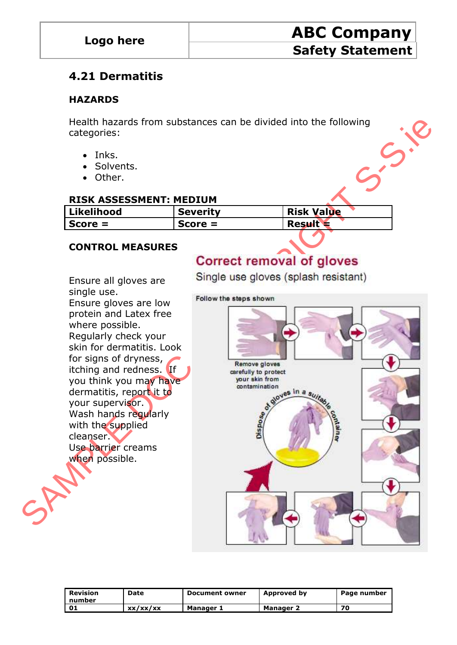### **4.21 Dermatitis**

#### **HAZARDS**

Health hazards from substances can be divided into the following<br>categories:<br>• Inks.<br>• Solvents.<br>• Other. categories:

- Inks.
- Solvents.
- Other.

#### **RISK ASSESSMENT: MEDIUM**

| <b>Likelihood</b> | <b>Severity</b> | <b>Risk Value</b> |
|-------------------|-----------------|-------------------|
| $Score =$         | $Score =$       | <b>Result</b>     |

#### **CONTROL MEASURES**

Ensure all gloves are

single use. Ensure gloves are low protein and Latex free where possible. Regularly check your skin for dermatitis. Look for signs of dryness, itching and redness. If you think you may have dermatitis, report it to your supervisor. Wash hands regularly with the supplied cleanser. Use barrier creams when possible.



| Revision<br>number | Date     | <b>Document owner</b> | Approved by      | Page number |
|--------------------|----------|-----------------------|------------------|-------------|
| 01                 | xx/xx/xx | <b>Manager 1</b>      | <b>Manager 2</b> | 70          |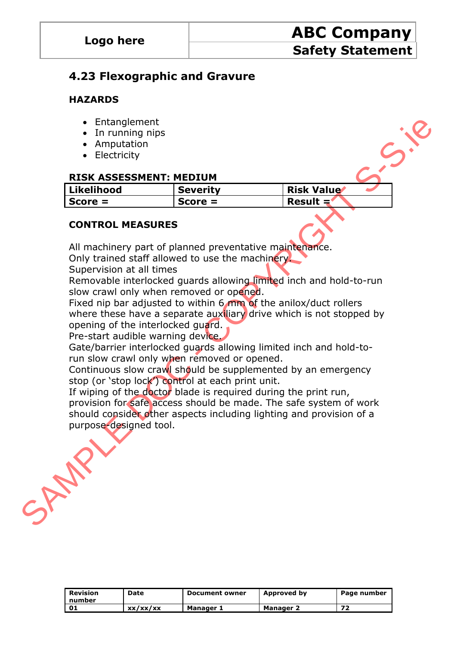### **4.23 Flexographic and Gravure**

#### **HAZARDS**

- Entanglement
- In running nips
- Amputation
- Electricity

#### **RISK ASSESSMENT: MEDIUM**

| Likelihood | <b>Severity</b> | <b>Risk Value</b> |
|------------|-----------------|-------------------|
| Score =    | $Score =$       | Result $=$        |

#### **CONTROL MEASURES**

All machinery part of planned preventative maintenance.

Only trained staff allowed to use the machinery.

Supervision at all times

Removable interlocked guards allowing limited inch and hold-to-run slow crawl only when removed or opened.

Fixed nip bar adjusted to within 6 mm of the anilox/duct rollers where these have a separate auxiliary drive which is not stopped by opening of the interlocked guard.

Pre-start audible warning device.

Gate/barrier interlocked guards allowing limited inch and hold-torun slow crawl only when removed or opened.

Continuous slow crawl should be supplemented by an emergency stop (or 'stop lock') control at each print unit.

Financism and The United into the Sample and provision of a<br>
Screen Contribution of the material start of the material start of the material start of planned start and the material start of planned preventative matrice.<br>
O If wiping of the doctor blade is required during the print run, provision for safe access should be made. The safe system of work should consider other aspects including lighting and provision of a purpose-designed tool.

| <b>Revision</b><br>number | Date     | <b>Document owner</b> | Approved by      | Page number |
|---------------------------|----------|-----------------------|------------------|-------------|
|                           | XX/XX/XX | Manager 1             | <b>Manager 2</b> | 72          |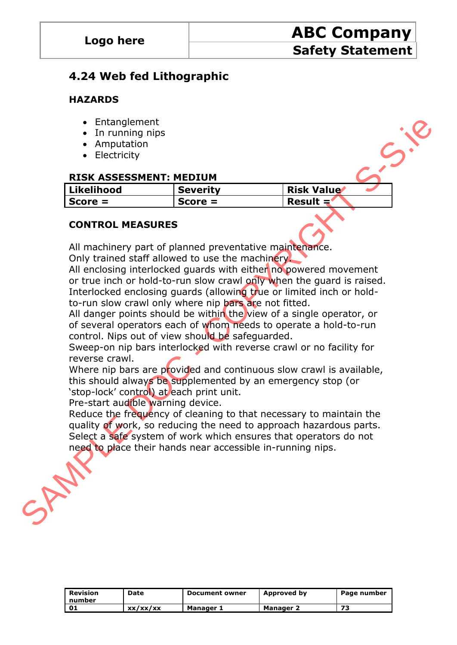### **4.24 Web fed Lithographic**

#### **HAZARDS**

- Entanglement
- In running nips
- Amputation
- Electricity

#### **RISK ASSESSMENT: MEDIUM**

| Likelihood | <b>Severity</b> | <b>Risk Value</b> |
|------------|-----------------|-------------------|
| $Score =$  | $Score =$       | Result $=$        |

#### **CONTROL MEASURES**

All machinery part of planned preventative maintenance.

Only trained staff allowed to use the machinery.

All enclosing interlocked quards with either no powered movement or true inch or hold-to-run slow crawl only when the guard is raised. Interlocked enclosing guards (allowing true or limited inch or holdto-run slow crawl only where nip bars are not fitted.

All danger points should be within the view of a single operator, or of several operators each of whom needs to operate a hold-to-run control. Nips out of view should be safeguarded.

Sweep-on nip bars interlocked with reverse crawl or no facility for reverse crawl.

Where nip bars are provided and continuous slow crawl is available, this should always be supplemented by an emergency stop (or "stop-lock" control) at each print unit.

Pre-start audible warning device.

Finance Provided and continuous slow crawls available,<br>
Secretion of the provided in the secretive mainlane of the secretive of the secretive of the secretive of the secretive of the secretive of the secretive contribution Reduce the frequency of cleaning to that necessary to maintain the quality of work, so reducing the need to approach hazardous parts. Select a safe system of work which ensures that operators do not need to place their hands near accessible in-running nips.

| Revision<br>I number | Date     | <b>Document owner</b> | Approved by | Page number |
|----------------------|----------|-----------------------|-------------|-------------|
| נס י                 | xx/xx/xx | Manager 1             | Manager 2   | 73          |